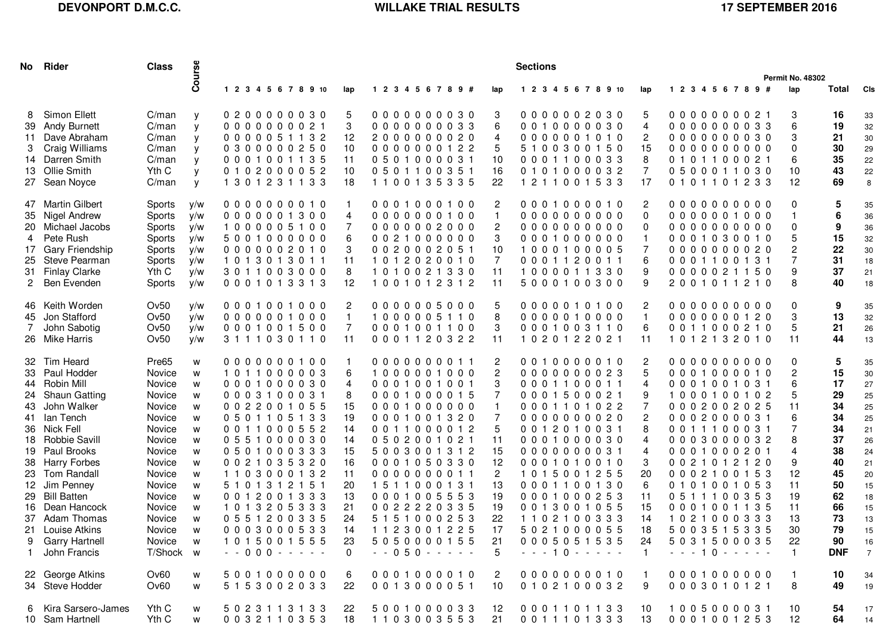## **DEVONPORT D.M.C.C.**

## WILLAKE TRIAL RESULTS 17 SEPTEMBER 2016

|              | No Rider                            | <b>Class</b>     | Course     | <b>Sections</b>            |  |  |  |                     |  |                          |  |  |  |  |                             |                    |                          |  |  |  |            |  |                      |                      |                           |  |  |                    |  |  |            |                      |  |            |                |
|--------------|-------------------------------------|------------------|------------|----------------------------|--|--|--|---------------------|--|--------------------------|--|--|--|--|-----------------------------|--------------------|--------------------------|--|--|--|------------|--|----------------------|----------------------|---------------------------|--|--|--------------------|--|--|------------|----------------------|--|------------|----------------|
|              |                                     |                  |            |                            |  |  |  |                     |  |                          |  |  |  |  |                             |                    |                          |  |  |  |            |  | Permit No. 48302     |                      |                           |  |  |                    |  |  |            |                      |  |            |                |
|              |                                     |                  |            | 1 2 3 4 5 6 7 8 9 10       |  |  |  | lap                 |  | 1 2 3 4 5 6 7 8 9 #      |  |  |  |  |                             | lap                |                          |  |  |  |            |  | 1 2 3 4 5 6 7 8 9 10 | lap                  | 1 2 3 4 5 6 7 8 9 #       |  |  |                    |  |  |            | lap                  |  | Total      | <b>CIS</b>     |
|              | 8 Simon Ellett                      | C/man            | y          | 0200000030                 |  |  |  | 5                   |  |                          |  |  |  |  | 0000000030                  | 3                  | 0000002030               |  |  |  |            |  |                      | 5                    | 0000000021                |  |  |                    |  |  |            | 3                    |  | 16         | 33             |
|              | 39 Andy Burnett                     | C/man            | y          | 0000000021                 |  |  |  | 3                   |  | 0000000033               |  |  |  |  |                             | 6                  | 0010000030               |  |  |  |            |  |                      | $\overline{4}$       | 0000000033                |  |  |                    |  |  |            | 6                    |  | 19         | 32             |
|              | 11 Dave Abraham                     | C/man            | y          | 0000051132                 |  |  |  | 12                  |  | 2000000020               |  |  |  |  |                             | 4                  | 0000001010               |  |  |  |            |  |                      | 2                    | 0000000030                |  |  |                    |  |  |            | 3                    |  | 21         | 30             |
| 3            | Craig Williams<br>14 Darren Smith   | C/man<br>C/man   | У          | 0300000250<br>0001001135   |  |  |  | 10<br>11            |  | 0501000031               |  |  |  |  | 0000000122                  | 5<br>10            | 0001100033               |  |  |  | 5100300150 |  |                      | 15<br>8              | 00000000000<br>0101100021 |  |  |                    |  |  |            | $\Omega$<br>6        |  | 30<br>35   | 29             |
|              | 13 Ollie Smith                      | Yth C            | y<br>y     | 0102000052                 |  |  |  | 10                  |  | 0501100351               |  |  |  |  |                             | 16                 | 0101000032               |  |  |  |            |  |                      | $\overline{7}$       | 0500011030                |  |  |                    |  |  |            | 10                   |  | 43         | 22<br>22       |
|              | 27 Sean Noyce                       | C/man            | y          | 1301231133                 |  |  |  | 18                  |  | 1100135335               |  |  |  |  |                             | 22                 | 1211001533               |  |  |  |            |  |                      | 17                   | 0101101233                |  |  |                    |  |  |            | 12                   |  | 69         | 8              |
|              | 47 Martin Gilbert                   | Sports           | y/w        | 0000000010                 |  |  |  | $\mathbf{1}$        |  |                          |  |  |  |  | 0001000100                  | 2                  | 0001000010               |  |  |  |            |  |                      | $\overline{2}$       | 0000000000                |  |  |                    |  |  |            | 0                    |  | 5          | 35             |
|              | 35 Nigel Andrew                     | Sports           | y/w        | 0000001300                 |  |  |  | 4                   |  | 0000000100               |  |  |  |  |                             | $\mathbf{1}$       | 0000000000               |  |  |  |            |  |                      | $\Omega$             | 0000001000                |  |  |                    |  |  |            | -1                   |  |            | 36             |
|              | 20 Michael Jacobs                   | Sports           | y/w        | 1000005100                 |  |  |  | 7                   |  | 0000002000               |  |  |  |  |                             | $\overline{2}$     | 0000000000               |  |  |  |            |  |                      | $\Omega$             | 0000000000                |  |  |                    |  |  |            | 0                    |  | 9          | 36             |
| 4            | Pete Rush                           | Sports           | y/w        | 5001000000                 |  |  |  | 6                   |  | 0021000000               |  |  |  |  |                             | 3                  | 0001000000               |  |  |  |            |  |                      | $\mathbf{1}$         | 0001030010                |  |  |                    |  |  |            | 5                    |  | 15         | 32             |
|              | 17 Gary Friendship                  | Sports           | y/w        | 0000002010                 |  |  |  | 3                   |  | 0020002051               |  |  |  |  |                             | 10                 | 1000100005               |  |  |  |            |  |                      | 7                    | 0000000020                |  |  |                    |  |  |            | 2                    |  | 22         | 30             |
|              | 25 Steve Pearman                    | Sports           | y/w        | 1013013011                 |  |  |  | 11                  |  | 1012020010               |  |  |  |  |                             | 7                  | 0001120011               |  |  |  |            |  |                      | 6                    | 0001100131                |  |  |                    |  |  |            | 7                    |  | 31         | 18             |
| $\mathbf{2}$ | 31 Finlay Clarke<br>Ben Evenden     | Yth C<br>Sports  | y/w<br>y/w | 3011003000<br>0001013313   |  |  |  | 8<br>12             |  | 1010021330<br>1001012312 |  |  |  |  |                             | 11<br>11           | 1000011330               |  |  |  | 5000100300 |  |                      | 9<br>9               | 0000021150                |  |  | 2001011210         |  |  |            | 9<br>8               |  | 37<br>40   | 21<br>18       |
|              |                                     |                  |            |                            |  |  |  |                     |  |                          |  |  |  |  |                             |                    |                          |  |  |  |            |  |                      |                      |                           |  |  |                    |  |  |            |                      |  |            |                |
|              | 46 Keith Worden<br>45 Jon Stafford  | Ov50<br>Ov50     | y/w<br>y/w | 0001001000<br>0000001000   |  |  |  | 2<br>$\overline{1}$ |  | 0000005000<br>1000005110 |  |  |  |  |                             | 5<br>8             | 0000010100<br>0000010000 |  |  |  |            |  |                      | 2<br>$\mathbf{1}$    | 0000000000<br>0000000120  |  |  |                    |  |  |            | 0<br>3               |  | 9<br>13    | 35<br>32       |
|              | John Sabotig                        | Ov50             | y/w        | 0001001500                 |  |  |  | 7                   |  | 0001001100               |  |  |  |  |                             | 3                  | 0001003110               |  |  |  |            |  |                      | 6                    | 0011000210                |  |  |                    |  |  |            | 5                    |  | 21         | 26             |
|              | 26 Mike Harris                      | Ov50             | y/w        | 3111030110                 |  |  |  | 11                  |  |                          |  |  |  |  | 0001120322                  | 11                 | 1020122021               |  |  |  |            |  |                      | 11                   | 1012132010                |  |  |                    |  |  |            | 11                   |  | 44         | 13             |
|              | 32 Tim Heard                        | Pre65            | w          | 0000000100                 |  |  |  |                     |  | 0000000011               |  |  |  |  |                             | $\overline{c}$     | 0010000010               |  |  |  |            |  |                      | 2                    | 0000000000                |  |  |                    |  |  |            | 0                    |  | 5          | 35             |
|              | 33 Paul Hodder                      | Novice           | W          | 1011000003                 |  |  |  | 6                   |  | 1000001000               |  |  |  |  |                             | $\overline{c}$     | 0000000023               |  |  |  |            |  |                      | 5                    | 0001000010                |  |  |                    |  |  |            | 2                    |  | 15         | 30             |
| 44           | Robin Mill                          | Novice           | W          | 0001000030                 |  |  |  | 4                   |  | 0001001001               |  |  |  |  |                             | 3                  |                          |  |  |  | 0001100011 |  |                      | $\overline{4}$       |                           |  |  | 0001001031         |  |  |            | 6                    |  | 17         | 27             |
|              | 24 Shaun Gatting                    | Novice           | W          | 0003100031                 |  |  |  | 8                   |  | 0001000015               |  |  |  |  |                             | $\overline{7}$     | 0001500021               |  |  |  |            |  |                      | 9                    |                           |  |  |                    |  |  | 1000100102 | 5                    |  | 29         | 25             |
| 43.          | John Walker                         | Novice           | W          | 0022001055                 |  |  |  | 15                  |  | 0001000000               |  |  |  |  |                             | $\mathbf{1}$       | 0001101022               |  |  |  |            |  |                      | 7                    | 0002002025                |  |  |                    |  |  |            | 11                   |  | 34         | 25             |
| 41           | Ian Tench                           | Novice           | W          | 0501105133                 |  |  |  | 19                  |  | 0001001320               |  |  |  |  |                             | 7                  | 0000000020               |  |  |  |            |  |                      | 2                    | 0002000031                |  |  |                    |  |  |            | 6                    |  | 34         | 25             |
|              | 36 Nick Fell                        | Novice           | W          | 0011000552                 |  |  |  | 14                  |  | 0011000012               |  |  |  |  |                             | 5                  | 0012010031               |  |  |  |            |  |                      | 8                    | 0011100031                |  |  |                    |  |  |            | 7                    |  | 34         | 21             |
|              | 18 Robbie Savill<br>19 Paul Brooks  | Novice<br>Novice | W          | 0551000030<br>0501000333   |  |  |  | 14<br>15            |  | 0502001021<br>5003001312 |  |  |  |  |                             | 11<br>15           | 0001000030<br>0000000031 |  |  |  |            |  |                      | 4<br>4               | 0001000201                |  |  |                    |  |  | 0003000032 | 8<br>4               |  | 37<br>38   | 26<br>24       |
| 38           | <b>Harry Forbes</b>                 | Novice           | w<br>W     | 0021035320                 |  |  |  | 16                  |  | 0001050330               |  |  |  |  |                             | 12                 | 0001010010               |  |  |  |            |  |                      | 3                    | 0021012120                |  |  |                    |  |  |            | 9                    |  | 40         | 21             |
| 23           | <b>Tom Randall</b>                  | Novice           | W          | 1103000132                 |  |  |  | 11                  |  | 0000000011               |  |  |  |  |                             | $\overline{2}$     | 1015001255               |  |  |  |            |  |                      | 20                   | 0002100153                |  |  |                    |  |  |            | 12                   |  | 45         | 20             |
|              | 12 Jim Penney                       | Novice           | W          | 5101312151                 |  |  |  | 20                  |  | 1511000131               |  |  |  |  |                             | 13                 | 0001100130               |  |  |  |            |  |                      | 6                    | 0101001053                |  |  |                    |  |  |            | 11                   |  | 50         | 15             |
|              | 29 Bill Batten                      | Novice           | w          | 0012001333                 |  |  |  | 13                  |  | 0001005553               |  |  |  |  |                             | 19                 | 0001000253               |  |  |  |            |  |                      | 11                   | 0511100353                |  |  |                    |  |  |            | 19                   |  | 62         | 18             |
| 16           | Dean Hancock                        | Novice           | W          | 1013205333                 |  |  |  | 21                  |  | 0022220335               |  |  |  |  |                             | 19                 | 0013001055               |  |  |  |            |  |                      | 15                   | 0001001135                |  |  |                    |  |  |            | 11                   |  | 66         | 15             |
|              | 37 Adam Thomas                      | Novice           | W          | 0551200335                 |  |  |  | 24                  |  | 5151000253               |  |  |  |  |                             | 22                 | 1102100333               |  |  |  |            |  |                      | 14                   | 1021000333                |  |  |                    |  |  |            | 13                   |  | 73         | 13             |
|              | 21 Louise Atkins                    | Novice           | W          | 0003000533                 |  |  |  | 14                  |  |                          |  |  |  |  | 1123001225                  | 17                 |                          |  |  |  |            |  | 5021000055           | 18                   |                           |  |  |                    |  |  | 5003515335 | 30                   |  | 79         | 15             |
|              | <b>Garry Hartnell</b>               | Novice           | W          | 1015001555<br>$-000 - - -$ |  |  |  | 23<br>$\Omega$      |  |                          |  |  |  |  | 5050000155<br>$- 050 - - -$ | 21<br>$5^{\circ}$  | 0005051535               |  |  |  |            |  | $- - - 10 - - - -$   | 24<br>$\blacksquare$ | 5031500035                |  |  | $- - - 10 - - - -$ |  |  |            | 22<br>$\overline{1}$ |  | 90         | 16             |
|              | John Francis                        | T/Shock w        |            |                            |  |  |  |                     |  |                          |  |  |  |  |                             |                    |                          |  |  |  |            |  |                      |                      |                           |  |  |                    |  |  |            |                      |  | <b>DNF</b> | $\overline{7}$ |
|              | 22 George Atkins<br>34 Steve Hodder | Ov <sub>60</sub> | W          | 5001000000<br>5153002033   |  |  |  | 6                   |  | 0013000051               |  |  |  |  | 0001000010                  | $\mathbf{2}$<br>10 | 0000000010<br>0102100032 |  |  |  |            |  |                      | $\blacksquare$<br>9  | 0001000000<br>0003010121  |  |  |                    |  |  |            | $\mathbf{1}$         |  | 10<br>49   | 34             |
|              |                                     | Ov60             | W          |                            |  |  |  | 22                  |  |                          |  |  |  |  |                             |                    |                          |  |  |  |            |  |                      |                      |                           |  |  |                    |  |  |            | 8                    |  |            | 19             |
| 6            | Kira Sarsero-James                  | Yth C            | W          | 5 0 2 3 1 1 3 1 3 3        |  |  |  | 22                  |  |                          |  |  |  |  | 5001000033                  | 12                 | 0001101133               |  |  |  |            |  |                      | 10                   | 1005000031                |  |  |                    |  |  |            | 10                   |  | 54         | 17             |
|              | 10 Sam Hartnell                     | Yth C            | W          | 0032110353                 |  |  |  | 18                  |  |                          |  |  |  |  | 1103003553                  | 21                 |                          |  |  |  |            |  | 0011101333           | 13                   | 0001001253                |  |  |                    |  |  |            | 12                   |  | 64         | 14             |